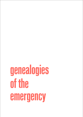## **genealogies of the emergency**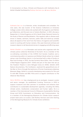A Conversation on Race, Climate and Museums with Subhadra Das & Ashish Ghadiali facilitated by Rodney Harrison (RH) & Henry McGhie

Subhadra Das (SD) is a historian, writer, broadcaster and comedian. For nine years, she was Curator of the Science Collections at University College London (UCL) where she worked with the Eugenics and Pathology Collections, and the auto-icon of Jeremy Bentham. In 2021, she was a Researcher in Critical Eugenics at UCL's Sarah Parker Remond Centre for the Study of Racism and Racialisation. She regularly talks to diverse audiences in classes, seminars, lectures, public talks and stand-up comedy about all aspects of her work from the history of eugenics and scientific racism to working with human remains. She uses historical archives and museum objects to tell decolonial stories in engaging and affirming ways.

Ashish Ghadiali (AG) is a filmmaker and activist who organises with the climate justice collective Wretched of the Earth. He is a member of the co-ordinating committee of the COP26 Civil Society Coalition and a commissioning editor at Lawrence and Wishart Books where he is developing a new Soundings imprint, to be launched with a slate of books on Race and Ecology in 2022. He was formerly Race Editor, then Co-Editor of *Red Pepper* magazine (2017 – 2020) and part of the team that set up the Freedom Theatre in Jenin Refugee Camp (in 2006). Ashish's 2016 feature documentary, *The Confession*, explored the geopolitical arcs of the War on Terror through the testimony of former Guantanamo detainee Moazzam Begg. Ashish is currently developing new projects for film and TV with BBC Studios and BBC Films and is a regular contributor to *The Observer New Review*.

Henry McGhie (HM) has a background as an ecologist, museum curator and senior manager. He established Curating Tomorrow in 2019 to support museums and their partners to accelerate and enhance their contribution to sustainable development agendas, including the SDGs, climate action, biodiversity conservation and human rights. He is a member of the International Council of Museums Sustainability Working Group and IUCN Commission on Education and Communication. He is a member of the *Reimagining Museums for Climate Action* research project team and a co-curator, with Rodney Harrison and Colin Sterling, of the *Reimagining Museums for Climate Action* exhibition.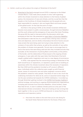AG [Wretched of the Earth](https://www.facebook.com/wotearth/) emerged around 2015 in response to the Global Climate March. It was really about people of colour self-organising within the climate movement to draw attention to the frames of global justice, the intersection of race and climate, and the crucial fact that the people on the frontlines of climate breakdown are the people who are least responsible for causing it, who are largely Black and brown people of the global south. So that was the point of origin.

And then in the spring of 2019, as the climate movement shifted and became more present in public consciousness, through Extinction Rebellion and the youth strikes and the emergence of new actors like Greta Thunberg, the group felt the need to intervene within the discussion which was emerging at that time. We presented an [open letter to Extinction Rebellion](https://www.redpepper.org.uk/an-open-letter-to-extinction-rebellion/) that attempted to take the line of a critical friend, sharing many common aims and objectives, and not wholly critical about the kind of tactics around mass arrests that were being used, but trying to draw attention to the omission of race within that schema, as well as the centrality of race within the problem of climate more generally. The aim was to encourage them to look at the tactics that were being used and who they included and who they excluded, at the intersection of policing Black communities, at the politics of the border, and the relationship of those issues to the ongoing climate emergency. It was really with that open letter that Wretched of the Earth caught a global public imagination and rose to a new degree of prominence.

In 2019, it was agreed that the overarching strategy of Wretched of the Earth would focus on reparations, on reparatory justice and on building an awareness within the climate movement about the necessity of reparation. But then 2020 and the pandemic knocked us off course in different ways. Individuals within the collective were caught up with financial issues, issues of community care and other pragmatic concerns which the pandemic raised for many people. That ethos of care is very much the underlying motivation for what we do, and so it assumed centre-stage. For me the year somehow led towards the COP26 mobilisation. I've ended up, through Wretched, getting involved in the [COP26 Civil Society Coalition](https://cop26coalition.org/)'s political strategy, and working to organise diverse grassroots organisations, including with activists from Extinction Rebellion, school strikers, Green New Deal UK etc, to start to address climate justice as a key part of the international climate conversation. Now we're looking at how to bring that back together in the run-up to COP26 and beyond, to renew that focus on reparations and reparatory justice.

RH How does this relate to the work that you're now doing for the Sarah Parker Remond Centre for the Study of Race and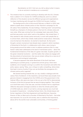Racialisation at UCL? And can you tell us about what it means to be an activist-in-residence at a university?

AG The initiative that I'm currently working to develop with the UCL Climate Hub is called [A 1.5˚C Charter for COP26 and Beyond,](https://www.ucl.ac.uk/climate-change/partnerships/15c-charter) and it is a direct reflection of the situation across the different groups and organisations I've been interfacing with through the COP26 Civil Society Coalition.

The background to this is that around February or March in 2019 I was asked to speak about climate justice on Keir Starmer's campaign for the UK Labour Party leadership. He was holding a "listening event" and pitching himself as a champion of climate justice in the hunt for climate votes and race votes. What was coming from his campaign team was pretty flimsy, and that was pretty much what I said on the platform. We invited them, if they wanted to take climate justice seriously, to work with people like us to school them, which they initially made positive noises about. Obviously, once he had won the election, he started to backtrack. By that point though a certain momentum had already been created in which members of Wretched of the Earth, in collaboration with others, were trying to bring people around the table to start to address questions that in a way haven't really been addressed at the level of mainstream policy – about the fundamental limitations of the idea of a green new deal, of green growth, of the green industrial revolution – and the reality that unless we engage with the discontents of extractivism, then we are simply rolling into a new era of exploitation and ecological catastrophe.

It became apparent that while Wretched of the Earth had been operating as a protest group, or grassroots activist group, there were suddenly a lot of people coming to us within the movement and within the policy space, saying "Okay, your critique is really compelling, where does that lead in terms of policy? How can we facilitate the emergence of a climate justice policy agenda?"

We started working towards that, as I say, initially in dialogue with the Labour Party frontbench. In the meantime, we found there was actually more genuine interest in engaging from the COP26 unit of the government in the Cabinet Office, who were very keen in the run-up to the COP to demonstrate inclusion of the kind of groups that we were bringing together. They invited us to brief them early in the new year, and that invitation led to a significant reflective discussion amongst ourselves on what the climate justice asks of COP26 really are, which in turn led to a strong response very much led by people of experience – including Farhana Yamin, the climate lawyer and former negotiator of the Paris Agreement and Asad Rehman, Executive Director of War on Want and co-founder of Wretched of the Earth – that what was important, for us as UK civil society, was to underline the importance, above all for the world's most vulnerable communities, of limiting global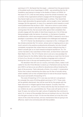warming to 1.5˚C. We feared that this target – a demand from the governments of the global south since Copenhagen in 2009 – was something that the UK Presidency was hoping to consign to the dustbin of history at COP26. On this issue of 1.5˚C, what we were seeing, across the climate movement, was a number of key organisations afraid to engage with the language of what they feared might prove an impossible target to achieve. They feared that failure might demoralise the general public, and so sought a more "optimistic" message. But this approach, to many of us, seemed to point towards a crucial moral predicament that we face in 2021 – that we've come to a point where we could be so scared to talk about the possible negative impacts of what's coming down the line, that we would rather ignore them completely than actually engage with the reality of what those impacts are. A lot of that was being packaged under the banner of optimism, or the banner of positive accelerationism, which was emerging around COP26. It seemed to me to be a paradigm in ascendancy that really needed to be challenged and replaced.

The 1.5˚C Charter has developed as a response to this, in dialogue with key climate scientists like Tim Lenton, whose work on tipping points is very much central to the positive accelerationist philosophy, but who himself completely recognizes that unless there are values underpinning that, it doesn't actually get us on track towards ecological equilibrium. So, Tim Lenton has been a key coarchitect of that vision, as have Simon Lewis and Mark Maslin at UCL. The 1.5˚C Charter aims to set out a new paradigm for climate finance for the 2020s. Rather than averting our eyes from the horror in front of us, the aim is to start to develop a language and a culture of looking the crisis in the eye and speaking about it in pragmatic terms.

The denialism that still runs our country, and many others, makes it still viable for the UK's Prime Minister to stand up in Parliament and say that net zero 2050 is as fast as we can afford to decarbonise without breaking the back of the economy. That's obviously a fiction, it's a small 'c' conservative fiction that is about maintaining the status quo for fear of actually doing what's needed, built on the complete failure to look at the actual impacts, the actual cost benefit of breaching 1.5˚C.

The costs of breaching 1.5˚C in any way you look at it, are going to far outweigh the costs of limiting global warming to 1.5˚C. Those costs will be globally distributed, they will be most felt by the people with the least resources to mitigate against those impacts. Crucially, they'll be intergenerational – we don't incur those costs the day that we breach 1.5˚C – our children do and our grandchildren do. Those costs will spiral on for at least 70 years, but without the right culture of leadership they continue to spiral. So, in terms of the paradigm that we are looking to lay out, this is the one that gets us back on track. It's the one that allows us to say this is the nature of the crisis that we face, and any mechanisms that are going to be effective, need to be commensurate with that problem.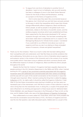RH To segue from one form of denialism to another form of denialism, I want to turn to Subhadra, who up until recently, has been a colleague of yours in the Sarah Parker Remond Centre for the Study of Race and Racialisation, working on a project on the history of eugenics at UCL.

And in some ways they seem like unconnected issues at first glance, but I think both you and Ash have variously pointed to the ways in which the inequalities which mean that climate change differentially affects indigenous, Black and Minority Ethnic people, as well as people in the global south more extensively, relates to the history of scientific racism, and the endless progress narratives which were established and have been supported by the discourses developed in 19th century museums through until today. This has been something that we've been really keen to emphasise and try to unpack in the *Reimagining Museums for Climate Action* project. I wondered if you could talk to us a little bit more about your work on eugenics and how you see it as relating to these entangled issues of museums, climate and global inequalities?

SD Thank you for the invitation. There is so much in what Ash has been talking about that I sympathise with and understand, and I feel like these are similar problems that we're addressing. Particularly as you say, there is a form of denialism about eugenics and systemic racism in the context of the University and in the context of our society more widely which I have been trying to address and which connects directly with the differential impacts of climate on Indigenous, Black and Minority Ethnic people throughout the world.

Despite the fact that the "science" of eugenics had been arguably disproven by people working in the UCL Genetics Department in the 1960s and 1970s, when I started working for UCL [a series of very prominent scientists associated with the eugenics](https://www.ucl.ac.uk/news/2021/jan/ucl-makes-formal-public-apology-its-history-and-legacy-eugenics)  [movement were still celebrated and commemorated with their names on buildings,](https://www.ucl.ac.uk/news/2021/jan/ucl-makes-formal-public-apology-its-history-and-legacy-eugenics) and this was still not a part of the overall conversation at the University in ways that I thought were important. When I started curating the thing that is called the [Galton](https://www.ucl.ac.uk/culture/ucl-science-collections)  [Collection](https://www.ucl.ac.uk/culture/ucl-science-collections) at UCL, by rights really it should be called the Eugenics Collection, it was clear to me that these conversations were starting to bubble up, but they were not necessarily part of the mainstream, and I felt like as curator of that collection it was my role to bring that into the mainstream more. In doing this, a couple of the people who were influential in my thinking and approach to these issues were Dr. Nathanial Adam Tobias Coleman, who was Research Associate in the Philosophy of 'Race' at UCL at the time, and Dr Debbie Challis, who was at the [Petrie Museum of Egyptian Archaeology](https://www.ucl.ac.uk/culture/petrie-museum).

They collaborated on an event called UCL Faces Race, which was I think probably the first time the conversation around the history of UCL, the history of eugenics and how race fits into that question, was really discussed openly. Debbie went on, as part of the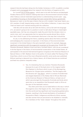research that she had been doing into the Golden Centenary in 2011, to publish a number of papers and [a monograph](https://www.bloomsbury.com/uk/archaeology-of-race-9781472587497/) about her research into the history of eugenics at UCL.

So I turned [one of those papers](https://www.archaeologybulletin.org/articles/10.5334/bha-556/) – which was to do with the famous archaeologist Flinders Petrie and his research relating skull size to the environment and all of those other hideous cultural materialist approaches to understanding ancient past – [into](https://www.ucl.ac.uk/culture/projects/bricks-mortals)  [an exhibition focusing on the buildings that were named after famous geneticists](https://www.ucl.ac.uk/culture/projects/bricks-mortals). Because as I said, to me this was a history that as a UCL student I had never heard, as a UCL member of staff, despite being curator of the Galton Collection, it was a story that I had not heard until I started working with the collection.

I felt like until we were all *au fait* with the history, and *au fait* with the language of it, we weren't going to be in a position to start to talk about things in meaningful equitable ways. Ash has very eloquently made the point that the climate crisis is a racist crisis, and I can appreciate that my saying that sounds almost like a cliché, but I don't think it's part of the mainstream discourse in the way that it should be.

So yes, to me addressing the history, speaking openly about the history and then acknowledging the crossovers is important. In the history of the environmentalist movement in the United States in the early twentieth century for example, [there are](https://www.newyorker.com/news/news-desk/environmentalisms-racist-history)  [significant connections with the eugenicist movement at the same time](https://www.newyorker.com/news/news-desk/environmentalisms-racist-history). People like Theodore Roosevelt, Madison Grant and Henry Fairfield Osborn, who are all considered to be key figures in the history of environmental conservation in the United States, all participated in the second International Eugenics Congress at the American Museum of Natural History in 1921. Madison Grant is the author of a book called *The Passing of the Great Race*, which is one of the most influential scientific racist works ever published. Without wanting to descend into a history lesson, all of these histories are combined and feed into systemic inequality today.

> RH Yes, it's interesting that you mention Theodore Roosevelt, because he is part of the back-story to the magical realist film *Elephant in the Room* which is part of the *Reimagining Museums for Climate Action* exhibition. The film begins with the diorama call ["The Alarm"](https://www.atlasobscura.com/places/african-elephants-diorama-american-museum-of-natural-history), which is a series of taxidermied and staged elephants in the Akeley Hall of African Mammals at the American Museum of Natural History, at least one of which was amongst the thousands of animals and birds which were shot on [an expedition](https://www.si.edu/object/auth_exp_fbr_EACE0006) that Roosevelt made to Africa at the start of the twentieth century.

The other point that you've made before is the way in which the eugenics story that begins at UCL, then makes its way out into the world and has [significant and long lasting global policy](https://www.makingdifference.org/)  [impacts](https://www.makingdifference.org/), resulting in the forced sterilisation of hundreds of thousands of Black, Indigenous and Minority Ethnic women, and also women that are perceived to be disabled or mentally ill or members of the "lower classes" throughout the world.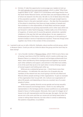- SD Entirely. If I take this opportunity to encourage your readers to look up the [sixth episode of my most recent podcast,](https://www.ucl.ac.uk/racism-racialisation/what-does-eugenics-mean-us#Episode%25206) which is called "What Does Eugenics Mean to Us?", where I'm in conversation with Paige Patchin from the Sarah Parker Remond Centre, and also Kate Law and Kalpana Wilson, all of whom do research into this area. We talk in a lot of detail about this idea of the population question – which can take us through straight back to Madison Grant in the early twentieth century – the idea that the population of the planet is stretching, that there are huge numbers of people and that somehow it is the responsibility of those Black and brown people whose populations are growing exponentially and in other ways which are put forward in rather fearful language. It belies really a lot of this history of eugenics, of racism and of course the general, extractivist, capitalist imbalance in the way that Ash was talking about. So yes, eugenics is a fundamental part of this history which is still going on in the policing of women's bodies in terms of reproductive injustice. Those two things come together very firmly in the context of this conversation.
- HM I wanted to ask you to talk a little bit, Subhadra, about another activist group, which is Museum Detox. Could you tell us a little bit about the group and the work they've been doing?
	- SD I am a founder member of [Museum Detox,](https://www.museumdetox.org/) which I think is just a fancy way of saying I was there at the first meeting, which is quite a while ago now. Museum Detox is a network for museum and heritage professionals from Black, Asian and Minority Ethnic backgrounds and together we provide each other solidarity and support, and activism in the field more widely. A lot of the work that we do is for each other in terms of being a space of mutual support and holding each other up.

While we are a substantial group now – I think there's more than 200 members – it's definitely the case that a lot of people who are members of the network are very much going to be the only Black and Minority Ethnic people working in their organisations. To give an example of the organisation that I've just left, UCL Culture is an organisation of about 60 people, and depending on how you counted, two of us were people of colour.

While there is greater diversity across gender and across sexuality within the museums and heritage sector, I think it is very telling that representation in the heritage and the museum workforce is so particularly biased in favour of white people. Obviously, that is part of a bigger set of issues to do with representation and the pay gap. But again, the fact that we are not in the room and that our voices are not being heard when it comes to telling these histories, but also when it comes to addressing the systemic inequalities, is a problem.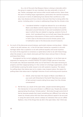So, a lot of the work that Museum Detox is doing is internally within the group to support its own members, but also externally in terms of say, Twitter campaigns and various other social media activity. Detox does the work of holding large organisations, particularly the national museums, to account in terms of addressing how diverse their workforce is. But also, how diverse and how critical is the work that they're doing within the sector, including when it comes to addressing things like the climate crisis.

- RH I wondered whether it might be relevant for us to talk about Black Lives Matter and the impact that it's had on the public discussion around histories of race and racialisation and the ways in which they are related to ongoing, systemic forms of racism. And I wondered how you've both seen these discussions impacting on discussions of history and its relationship, in Ash's case to the discourse around climate justice, and in Subhadra's case to the discourses around museums.
- SD So much of the discourse around statues, particularly statues coming down fallism – what to do with statues, etc. in the UK has been framed as a question to do with heritage rather than a question to do with political equality and social injustice. So much of the argument is nonsense co-opted about what to do with these things, when the answer is very clearly obviously pull them down and put them in the sea and leave them there.

As poignant as the current [redisplay of Colston in Bristol](https://www.theguardian.com/uk-news/2021/jun/04/toppled-edward-colston-statue-display-bristol-blm-protests-exhibition) is, to me there was an argument for leaving him in Bristol Harbour for quite a longer period of time than he actually was. Because essentially what you've had there is the state retrieving its property and then reappropriating it in the context of a heritage organisation, which is still blanket covering the wider issues to do with systemic injustice. The reason for pulling down that statue was not to create a new museum piece, the reason for pulling down that statue was to highlight histories of and continuing social injustice.

- RH Ashish, what has been the impact of Black Lives Matter on your work with Wretched of the Earth? Was there any sense of last summer's events taking focus away from the climate conversation?
- AG We felt that, as a result of the open letter, people started talking about the intersection of race and climate in a different way. People also started appropriating the phrase "climate justice". We broke through some kind of barrier because people that meant something very different from what we meant by climate justice felt that there was political capital to be accrued in using the same words, which is always an indication that you've ruffled feathers. One of the things that we did in the open letter, that I think was